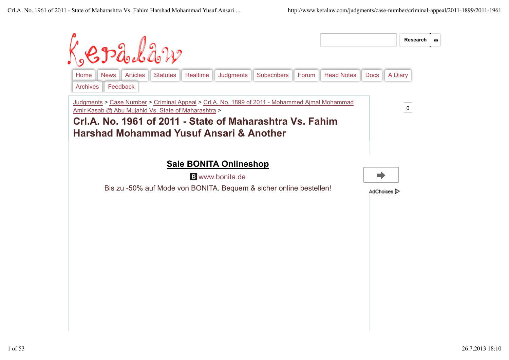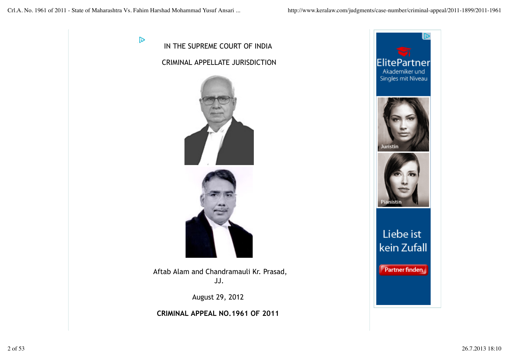D



Aftab Alam and Chandramauli Kr. Prasad, JJ.

August 29, 2012

**CRIMINAL APPEAL NO.1961 OF 2011** 

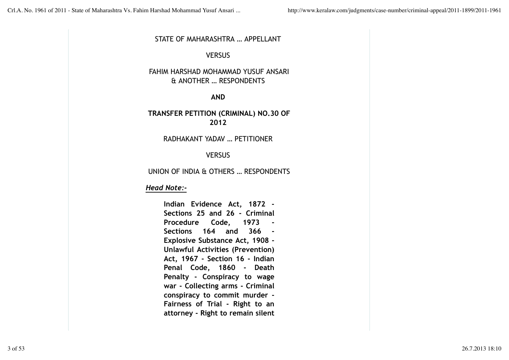#### STATE OF MAHARASHTRA … APPELLANT

### VERSUS

# FAHIM HARSHAD MOHAMMAD YUSUF ANSARI & ANOTHER … RESPONDENTS

#### **AND**

# **TRANSFER PETITION (CRIMINAL) NO.30 OF 2012**

RADHAKANT YADAV … PETITIONER

### VERSUS

### UNION OF INDIA & OTHERS … RESPONDENTS

### *Head Note:-*

**Indian Evidence Act, 1872 - Sections 25 and 26 - Criminal Procedure Code, 1973 - Sections 164 and 366 - Explosive Substance Act, 1908 - Unlawful Activities (Prevention) Act, 1967 - Section 16 - Indian Penal Code, 1860 - Death Penalty - Conspiracy to wage war - Collecting arms - Criminal conspiracy to commit murder - Fairness of Trial - Right to an attorney - Right to remain silent**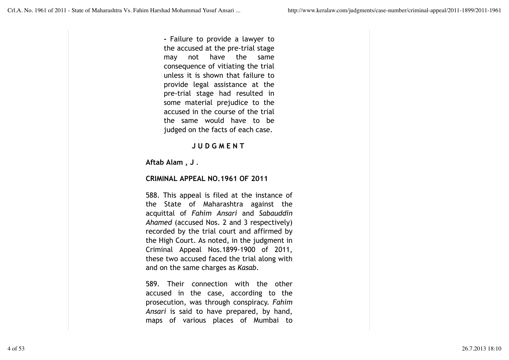**-** Failure to provide a lawyer to the accused at the pre-trial stage may not have the same consequence of vitiating the trial unless it is shown that failure to provide legal assistance at the pre-trial stage had resulted in some material prejudice to the accused in the course of the trial the same would have to be judged on the facts of each case.

# **J U D G M E N T**

**Aftab Alam , J** .

# **CRIMINAL APPEAL NO.1961 OF 2011**

588. This appeal is filed at the instance of the State of Maharashtra against the acquittal of *Fahim Ansari* and *Sabauddin Ahamed* (accused Nos. 2 and 3 respectively) recorded by the trial court and affirmed by the High Court. As noted, in the judgment in Criminal Appeal Nos.1899-1900 of 2011, these two accused faced the trial along with and on the same charges as *Kasab*.

589. Their connection with the other accused in the case, according to the prosecution, was through conspiracy. *Fahim Ansari* is said to have prepared, by hand, maps of various places of Mumbai to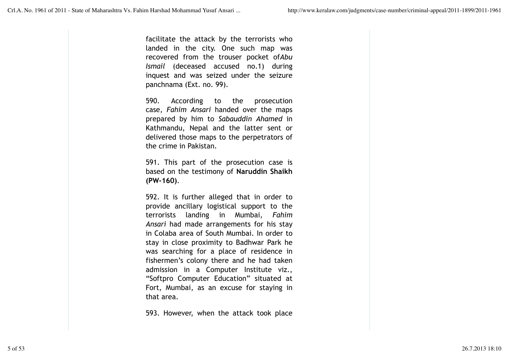facilitate the attack by the terrorists who landed in the city. One such map was recovered from the trouser pocket of*Abu Ismail* (deceased accused no.1) during inquest and was seized under the seizure panchnama (Ext. no. 99).

590. According to the prosecution case, *Fahim Ansari* handed over the maps prepared by him to *Sabauddin Ahamed* in Kathmandu, Nepal and the latter sent or delivered those maps to the perpetrators of the crime in Pakistan.

591. This part of the prosecution case is based on the testimony of **Naruddin Shaikh (PW-160)**.

592. It is further alleged that in order to provide ancillary logistical support to the terrorists landing in Mumbai, *Fahim Ansari* had made arrangements for his stay in Colaba area of South Mumbai. In order to stay in close proximity to Badhwar Park he was searching for a place of residence in fishermen's colony there and he had taken admission in a Computer Institute viz., "Softpro Computer Education" situated at Fort, Mumbai, as an excuse for staying in that area.

593. However, when the attack took place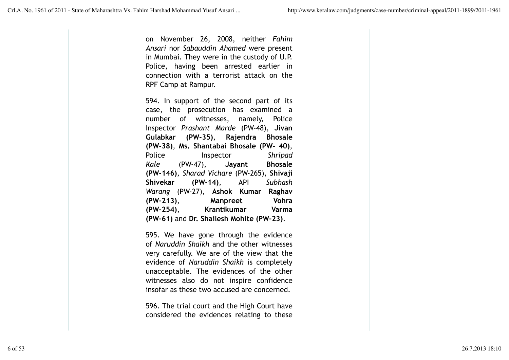on November 26, 2008, neither *Fahim Ansari* nor *Sabauddin Ahamed* were present in Mumbai. They were in the custody of U.P. Police, having been arrested earlier in connection with a terrorist attack on the RPF Camp at Rampur.

594. In support of the second part of its case, the prosecution has examined a number of witnesses, namely, Police Inspector *Prashant Marde* (PW-48), **Jivan Gulabkar (PW-35)**, **Rajendra Bhosale (PW-38)**, **Ms. Shantabai Bhosale (PW- 40)**, Police Inspector *Shripad Kale* (PW-47), **Jayant Bhosale (PW-146)**, *Sharad Vichare* (PW-265), **Shivaji Shivekar (PW-14)**, API *Subhash Warang* (PW-27), **Ashok Kumar Raghav (PW-213)**, **Manpreet Vohra (PW-254)**, **Krantikumar Varma (PW-61)** and **Dr. Shailesh Mohite (PW-23)**.

595. We have gone through the evidence of *Naruddin Shaikh* and the other witnesses very carefully. We are of the view that the evidence of *Naruddin Shaikh* is completely unacceptable. The evidences of the other witnesses also do not inspire confidence insofar as these two accused are concerned.

596. The trial court and the High Court have considered the evidences relating to these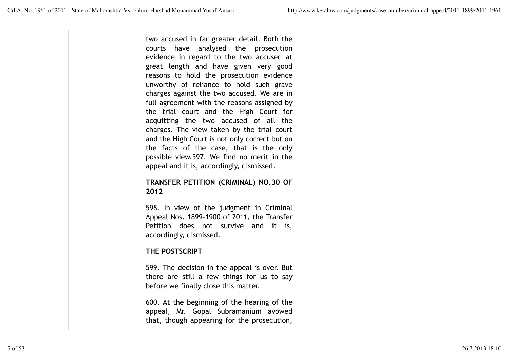two accused in far greater detail. Both the courts have analysed the prosecution evidence in regard to the two accused at great length and have given very good reasons to hold the prosecution evidence unworthy of reliance to hold such grave charges against the two accused. We are in full agreement with the reasons assigned by the trial court and the High Court for acquitting the two accused of all the charges. The view taken by the trial court and the High Court is not only correct but on the facts of the case, that is the only possible view.597. We find no merit in the appeal and it is, accordingly, dismissed.

### **TRANSFER PETITION (CRIMINAL) NO.30 OF 2012**

598. In view of the judgment in Criminal Appeal Nos. 1899-1900 of 2011, the Transfer Petition does not survive and it is, accordingly, dismissed.

# **THE POSTSCRIPT**

599. The decision in the appeal is over. But there are still a few things for us to say before we finally close this matter.

600. At the beginning of the hearing of the appeal, Mr. Gopal Subramanium avowed that, though appearing for the prosecution,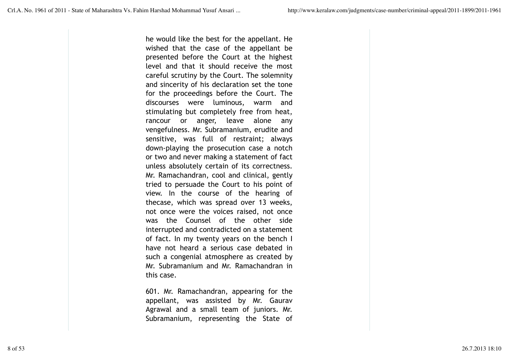he would like the best for the appellant. He wished that the case of the appellant be presented before the Court at the highest level and that it should receive the most careful scrutiny by the Court. The solemnity and sincerity of his declaration set the tone for the proceedings before the Court. The discourses were luminous, warm and stimulating but completely free from heat, rancour or anger, leave alone any vengefulness. Mr. Subramanium, erudite and sensitive, was full of restraint; always down-playing the prosecution case a notch or two and never making a statement of fact unless absolutely certain of its correctness. Mr. Ramachandran, cool and clinical, gently tried to persuade the Court to his point of view. In the course of the hearing of thecase, which was spread over 13 weeks, not once were the voices raised, not once was the Counsel of the other side interrupted and contradicted on a statement of fact. In my twenty years on the bench I have not heard a serious case debated in such a congenial atmosphere as created by Mr. Subramanium and Mr. Ramachandran in this case.

601. Mr. Ramachandran, appearing for the appellant, was assisted by Mr. Gaurav Agrawal and a small team of juniors. Mr. Subramanium, representing the State of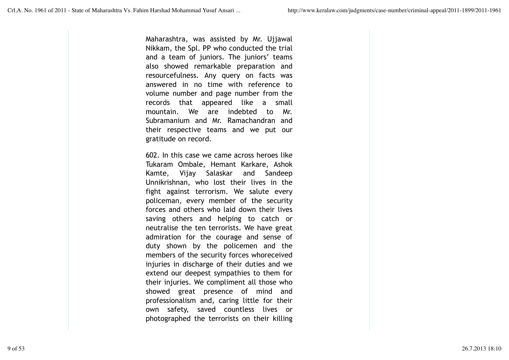Maharashtra, was assisted by Mr. Ujjawal Nikkam, the Spl. PP who conducted the trial and a team of juniors. The juniors' teams also showed remarkable preparation and resourcefulness. Any query on facts was answered in no time with reference to volume number and page number from the records that appeared like a small mountain. We are indebted to Mr. Subramanium and Mr. Ramachandran and their respective teams and we put our gratitude on record.

602. In this case we came across heroes like Tukaram Ombale, Hemant Karkare, Ashok Kamte, Vijay Salaskar and Sandeep Unnikrishnan, who lost their lives in the fight against terrorism. We salute every policeman, every member of the security forces and others who laid down their lives saving others and helping to catch or neutralise the ten terrorists. We have great admiration for the courage and sense of duty shown by the policemen and the members of the security forces whoreceived injuries in discharge of their duties and we extend our deepest sympathies to them for their injuries. We compliment all those who showed great presence of mind and professionalism and, caring little for their own safety, saved countless lives or photographed the terrorists on their killing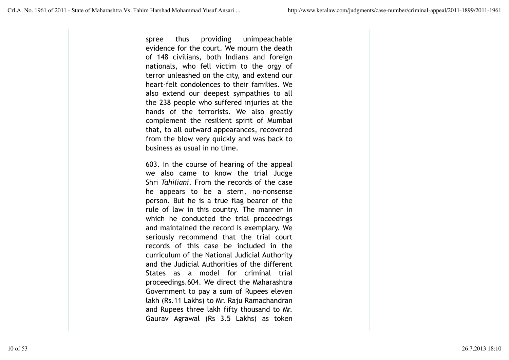spree thus providing unimpeachable evidence for the court. We mourn the death of 148 civilians, both Indians and foreign nationals, who fell victim to the orgy of terror unleashed on the city, and extend our heart-felt condolences to their families. We also extend our deepest sympathies to all the 238 people who suffered injuries at the hands of the terrorists. We also greatly complement the resilient spirit of Mumbai that, to all outward appearances, recovered from the blow very quickly and was back to business as usual in no time.

603. In the course of hearing of the appeal we also came to know the trial Judge Shri *Tahiliani*. From the records of the case he appears to be a stern, no-nonsense person. But he is a true flag bearer of the rule of law in this country. The manner in which he conducted the trial proceedings and maintained the record is exemplary. We seriously recommend that the trial court records of this case be included in the curriculum of the National Judicial Authority and the Judicial Authorities of the different States as a model for criminal trial proceedings.604. We direct the Maharashtra Government to pay a sum of Rupees eleven lakh (Rs.11 Lakhs) to Mr. Raju Ramachandran and Rupees three lakh fifty thousand to Mr. Gaurav Agrawal (Rs 3.5 Lakhs) as token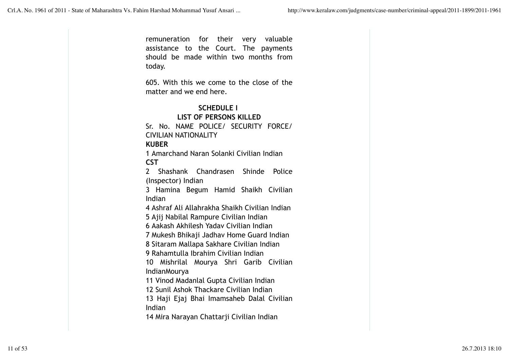remuneration for their very valuable assistance to the Court. The payments should be made within two months from today.

605. With this we come to the close of the matter and we end here.

# **SCHEDULE I**

**LIST OF PERSONS KILLED** Sr. No. NAME POLICE/ SECURITY FORCE/ CIVILIAN NATIONALITY **KUBER**

1 Amarchand Naran Solanki Civilian Indian **CST**

2 Shashank Chandrasen Shinde Police (Inspector) Indian

3 Hamina Begum Hamid Shaikh Civilian Indian

4 Ashraf Ali Allahrakha Shaikh Civilian Indian

5 Ajij Nabilal Rampure Civilian Indian

6 Aakash Akhilesh Yadav Civilian Indian

7 Mukesh Bhikaji Jadhav Home Guard Indian

8 Sitaram Mallapa Sakhare Civilian Indian

9 Rahamtulla Ibrahim Civilian Indian

10 Mishrilal Mourya Shri Garib Civilian IndianMourya

11 Vinod Madanlal Gupta Civilian Indian

12 Sunil Ashok Thackare Civilian Indian

13 Haji Ejaj Bhai Imamsaheb Dalal Civilian Indian

14 Mira Narayan Chattarji Civilian Indian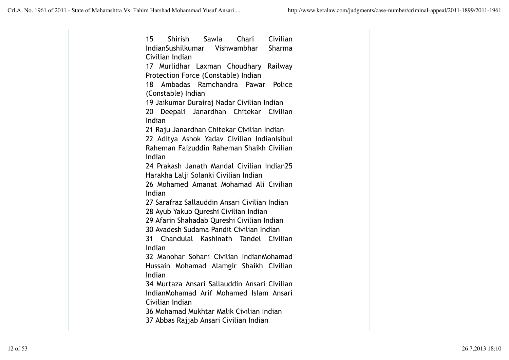15 Shirish Sawla Chari Civilian IndianSushilkumar Vishwambhar Sharma Civilian Indian 17 Murlidhar Laxman Choudhary Railway Protection Force (Constable) Indian 18 Ambadas Ramchandra Pawar Police (Constable) Indian 19 Jaikumar Durairaj Nadar Civilian Indian 20 Deepali Janardhan Chitekar Civilian Indian 21 Raju Janardhan Chitekar Civilian Indian 22 Aditya Ashok Yadav Civilian IndianIsibul Raheman Faizuddin Raheman Shaikh Civilian Indian 24 Prakash Janath Mandal Civilian Indian25 Harakha Lalji Solanki Civilian Indian 26 Mohamed Amanat Mohamad Ali Civilian Indian 27 Sarafraz Sallauddin Ansari Civilian Indian 28 Ayub Yakub Qureshi Civilian Indian 29 Afarin Shahadab Qureshi Civilian Indian 30 Avadesh Sudama Pandit Civilian Indian 31 Chandulal Kashinath Tandel Civilian Indian 32 Manohar Sohani Civilian IndianMohamad Hussain Mohamad Alamgir Shaikh Civilian Indian 34 Murtaza Ansari Sallauddin Ansari Civilian IndianMohamad Arif Mohamed Islam Ansari Civilian Indian 36 Mohamad Mukhtar Malik Civilian Indian 37 Abbas Rajjab Ansari Civilian Indian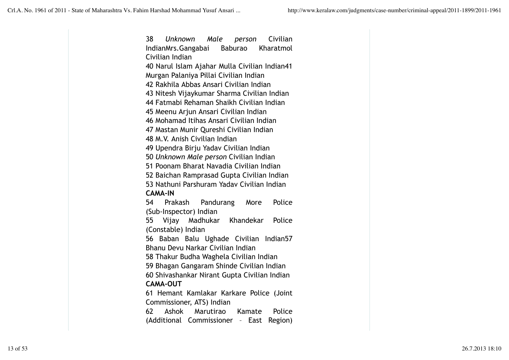38 *Unknown Male person* Civilian IndianMrs.Gangabai Baburao Kharatmol Civilian Indian 40 Narul Islam Ajahar Mulla Civilian Indian41 Murgan Palaniya Pillai Civilian Indian 42 Rakhila Abbas Ansari Civilian Indian 43 Nitesh Vijaykumar Sharma Civilian Indian 44 Fatmabi Rehaman Shaikh Civilian Indian 45 Meenu Arjun Ansari Civilian Indian 46 Mohamad Itihas Ansari Civilian Indian 47 Mastan Munir Qureshi Civilian Indian 48 M.V. Anish Civilian Indian 49 Upendra Birju Yadav Civilian Indian 50 *Unknown Male person* Civilian Indian 51 Poonam Bharat Navadia Civilian Indian 52 Baichan Ramprasad Gupta Civilian Indian 53 Nathuni Parshuram Yadav Civilian Indian **CAMA-IN** 54 Prakash Pandurang More Police (Sub-Inspector) Indian 55 Vijay Madhukar Khandekar Police (Constable) Indian 56 Baban Balu Ughade Civilian Indian57 Bhanu Devu Narkar Civilian Indian 58 Thakur Budha Waghela Civilian Indian 59 Bhagan Gangaram Shinde Civilian Indian 60 Shivashankar Nirant Gupta Civilian Indian **CAMA-OUT** 61 Hemant Kamlakar Karkare Police (Joint Commissioner, ATS) Indian 62 Ashok Marutirao Kamate Police (Additional Commissioner – East Region)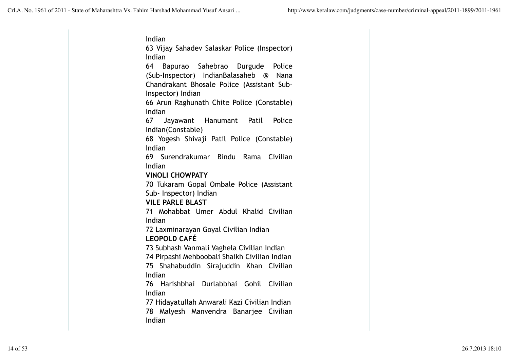Indian 63 Vijay Sahadev Salaskar Police (Inspector) Indian 64 Bapurao Sahebrao Durgude Police (Sub-Inspector) IndianBalasaheb @ Nana Chandrakant Bhosale Police (Assistant Sub-Inspector) Indian 66 Arun Raghunath Chite Police (Constable) Indian 67 Jayawant Hanumant Patil Police Indian(Constable) 68 Yogesh Shivaji Patil Police (Constable) Indian 69 Surendrakumar Bindu Rama Civilian Indian **VINOLI CHOWPATY** 70 Tukaram Gopal Ombale Police (Assistant Sub- Inspector) Indian **VILE PARLE BLAST** 71 Mohabbat Umer Abdul Khalid Civilian Indian 72 Laxminarayan Goyal Civilian Indian **LEOPOLD CAFÉ** 73 Subhash Vanmali Vaghela Civilian Indian 74 Pirpashi Mehboobali Shaikh Civilian Indian 75 Shahabuddin Sirajuddin Khan Civilian Indian 76 Harishbhai Durlabbhai Gohil Civilian Indian 77 Hidayatullah Anwarali Kazi Civilian Indian 78 Malyesh Manvendra Banarjee Civilian Indian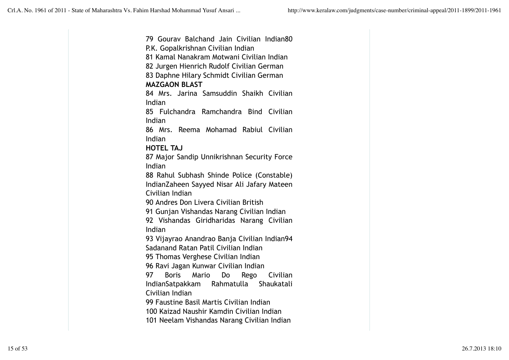79 Gourav Balchand Jain Civilian Indian80 P.K. Gopalkrishnan Civilian Indian 81 Kamal Nanakram Motwani Civilian Indian 82 Jurgen Hienrich Rudolf Civilian German 83 Daphne Hilary Schmidt Civilian German **MAZGAON BLAST** 84 Mrs. Jarina Samsuddin Shaikh Civilian Indian 85 Fulchandra Ramchandra Bind Civilian Indian 86 Mrs. Reema Mohamad Rabiul Civilian Indian **HOTEL TAJ** 87 Major Sandip Unnikrishnan Security Force Indian 88 Rahul Subhash Shinde Police (Constable) IndianZaheen Sayyed Nisar Ali Jafary Mateen Civilian Indian 90 Andres Don Livera Civilian British 91 Gunjan Vishandas Narang Civilian Indian 92 Vishandas Giridharidas Narang Civilian Indian 93 Vijayrao Anandrao Banja Civilian Indian94 Sadanand Ratan Patil Civilian Indian 95 Thomas Verghese Civilian Indian 96 Ravi Jagan Kunwar Civilian Indian 97 Boris Mario Do Rego Civilian IndianSatpakkam Rahmatulla Shaukatali Civilian Indian 99 Faustine Basil Martis Civilian Indian 100 Kaizad Naushir Kamdin Civilian Indian 101 Neelam Vishandas Narang Civilian Indian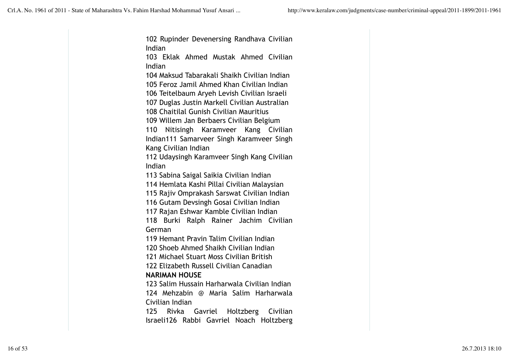102 Rupinder Devenersing Randhava Civilian Indian

103 Eklak Ahmed Mustak Ahmed Civilian Indian

104 Maksud Tabarakali Shaikh Civilian Indian 105 Feroz Jamil Ahmed Khan Civilian Indian

106 Teitelbaum Aryeh Levish Civilian Israeli

107 Duglas Justin Markell Civilian Australian

108 Chaitilal Gunish Civilian Mauritius

109 Willem Jan Berbaers Civilian Belgium

110 Nitisingh Karamveer Kang Civilian Indian111 Samarveer Singh Karamveer Singh Kang Civilian Indian

112 Udaysingh Karamveer Singh Kang Civilian Indian

113 Sabina Saigal Saikia Civilian Indian

114 Hemlata Kashi Pillai Civilian Malaysian

115 Rajiv Omprakash Sarswat Civilian Indian

116 Gutam Devsingh Gosai Civilian Indian

117 Rajan Eshwar Kamble Civilian Indian

118 Burki Ralph Rainer Jachim Civilian German

119 Hemant Pravin Talim Civilian Indian

120 Shoeb Ahmed Shaikh Civilian Indian

121 Michael Stuart Moss Civilian British

122 Elizabeth Russell Civilian Canadian **NARIMAN HOUSE**

123 Salim Hussain Harharwala Civilian Indian 124 Mehzabin @ Maria Salim Harharwala Civilian Indian

125 Rivka Gavriel Holtzberg Civilian Israeli126 Rabbi Gavriel Noach Holtzberg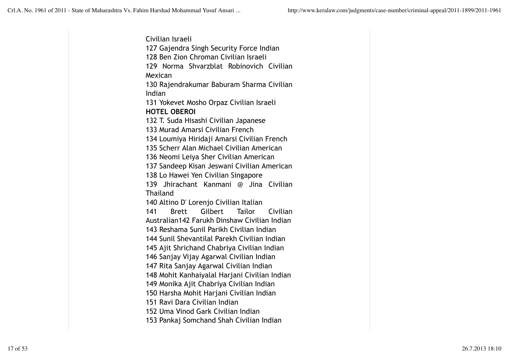Civilian Israeli 127 Gajendra Singh Security Force Indian 128 Ben Zion Chroman Civilian Israeli 129 Norma Shvarzblat Robinovich Civilian Mexican 130 Rajendrakumar Baburam Sharma Civilian Indian 131 Yokevet Mosho Orpaz Civilian Israeli **HOTEL OBEROI** 132 T. Suda Hisashi Civilian Japanese 133 Murad Amarsi Civilian French 134 Loumiya Hiridaji Amarsi Civilian French 135 Scherr Alan Michael Civilian American 136 Neomi Leiya Sher Civilian American 137 Sandeep Kisan Jeswani Civilian American 138 Lo Hawei Yen Civilian Singapore 139 Jhirachant Kanmani @ Jina Civilian **Thailand** 140 Altino D' Lorenjo Civilian Italian 141 Brett Gilbert Tailor Civilian Australian142 Farukh Dinshaw Civilian Indian 143 Reshama Sunil Parikh Civilian Indian 144 Sunil Shevantilal Parekh Civilian Indian 145 Ajit Shrichand Chabriya Civilian Indian 146 Sanjay Vijay Agarwal Civilian Indian 147 Rita Sanjay Agarwal Civilian Indian 148 Mohit Kanhaiyalal Harjani Civilian Indian 149 Monika Ajit Chabriya Civilian Indian 150 Harsha Mohit Harjani Civilian Indian 151 Ravi Dara Civilian Indian 152 Uma Vinod Gark Civilian Indian 153 Pankaj Somchand Shah Civilian Indian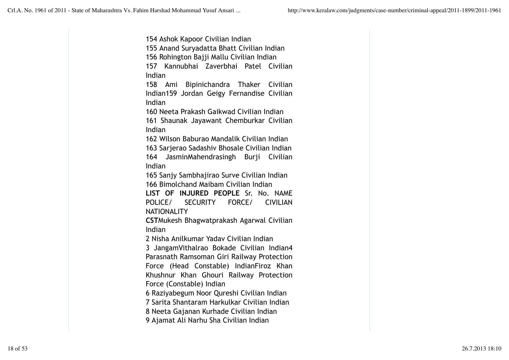154 Ashok Kapoor Civilian Indian 155 Anand Suryadatta Bhatt Civilian Indian 156 Rohington Bajji Mallu Civilian Indian 157 Kannubhai Zaverbhai Patel Civilian Indian 158 Ami Bipinichandra Thaker Civilian Indian159 Jordan Geigy Fernandise Civilian Indian 160 Neeta Prakash Gaikwad Civilian Indian 161 Shaunak Jayawant Chemburkar Civilian Indian 162 Wilson Baburao Mandalik Civilian Indian 163 Sarjerao Sadashiv Bhosale Civilian Indian 164 JasminMahendrasingh Burji Civilian Indian 165 Sanjy Sambhajirao Surve Civilian Indian 166 Bimolchand Maibam Civilian Indian **LIST OF INJURED PEOPLE** Sr. No. NAME POLICE/ SECURITY FORCE/ CIVILIAN **NATIONALITY CST**Mukesh Bhagwatprakash Agarwal Civilian Indian 2 Nisha Anilkumar Yadav Civilian Indian 3 JangamVithalrao Bokade Civilian Indian4 Parasnath Ramsoman Giri Railway Protection Force (Head Constable) IndianFiroz Khan Khushnur Khan Ghouri Railway Protection Force (Constable) Indian 6 Raziyabegum Noor Qureshi Civilian Indian 7 Sarita Shantaram Harkulkar Civilian Indian 8 Neeta Gajanan Kurhade Civilian Indian

9 Ajamat Ali Narhu Sha Civilian Indian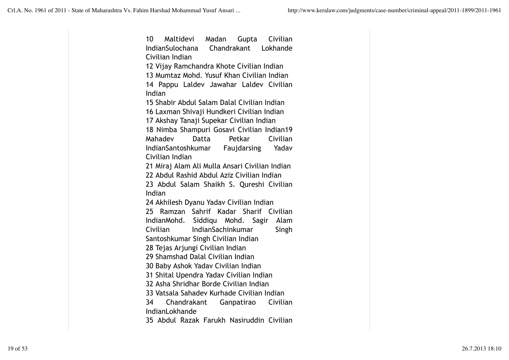10 Maltidevi Madan Gupta Civilian IndianSulochana Chandrakant Lokhande Civilian Indian 12 Vijay Ramchandra Khote Civilian Indian 13 Mumtaz Mohd. Yusuf Khan Civilian Indian 14 Pappu Laldev Jawahar Laldev Civilian Indian 15 Shabir Abdul Salam Dalal Civilian Indian 16 Laxman Shivaji Hundkeri Civilian Indian 17 Akshay Tanaji Supekar Civilian Indian 18 Nimba Shampuri Gosavi Civilian Indian19 Mahadev Datta Petkar Civilian IndianSantoshkumar Faujdarsing Yadav Civilian Indian 21 Miraj Alam Ali Mulla Ansari Civilian Indian 22 Abdul Rashid Abdul Aziz Civilian Indian 23 Abdul Salam Shaikh S. Qureshi Civilian Indian 24 Akhilesh Dyanu Yadav Civilian Indian 25 Ramzan Sahrif Kadar Sharif Civilian IndianMohd. Siddiqu Mohd. Sagir Alam Civilian IndianSachinkumar Singh Santoshkumar Singh Civilian Indian 28 Tejas Arjungi Civilian Indian 29 Shamshad Dalal Civilian Indian 30 Baby Ashok Yadav Civilian Indian 31 Shital Upendra Yadav Civilian Indian 32 Asha Shridhar Borde Civilian Indian 33 Vatsala Sahadev Kurhade Civilian Indian 34 Chandrakant Ganpatirao Civilian IndianLokhande 35 Abdul Razak Farukh Nasiruddin Civilian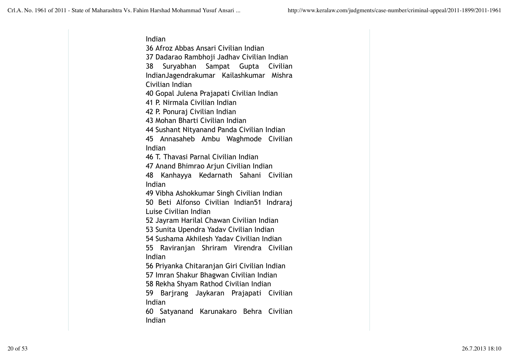Indian 36 Afroz Abbas Ansari Civilian Indian 37 Dadarao Rambhoji Jadhav Civilian Indian 38 Suryabhan Sampat Gupta Civilian IndianJagendrakumar Kailashkumar Mishra Civilian Indian 40 Gopal Julena Prajapati Civilian Indian 41 P. Nirmala Civilian Indian 42 P. Ponuraj Civilian Indian

43 Mohan Bharti Civilian Indian

44 Sushant Nityanand Panda Civilian Indian

45 Annasaheb Ambu Waghmode Civilian Indian

46 T. Thavasi Parnal Civilian Indian

47 Anand Bhimrao Arjun Civilian Indian

48 Kanhayya Kedarnath Sahani Civilian Indian

49 Vibha Ashokkumar Singh Civilian Indian

50 Beti Alfonso Civilian Indian51 Indraraj Luise Civilian Indian

52 Jayram Harilal Chawan Civilian Indian

53 Sunita Upendra Yadav Civilian Indian

54 Sushama Akhilesh Yadav Civilian Indian

55 Raviranjan Shriram Virendra Civilian Indian

56 Priyanka Chitaranjan Giri Civilian Indian

57 Imran Shakur Bhagwan Civilian Indian

58 Rekha Shyam Rathod Civilian Indian

59 Barjrang Jaykaran Prajapati Civilian Indian

60 Satyanand Karunakaro Behra Civilian Indian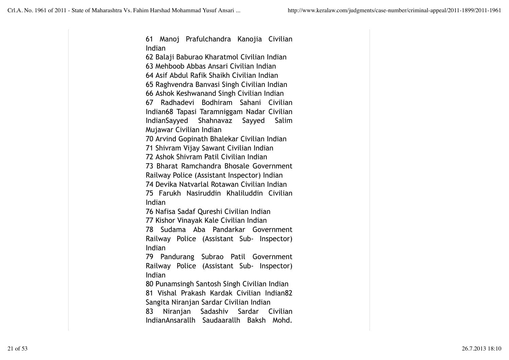61 Manoj Prafulchandra Kanojia Civilian Indian 62 Balaji Baburao Kharatmol Civilian Indian 63 Mehboob Abbas Ansari Civilian Indian 64 Asif Abdul Rafik Shaikh Civilian Indian 65 Raghvendra Banvasi Singh Civilian Indian 66 Ashok Keshwanand Singh Civilian Indian 67 Radhadevi Bodhiram Sahani Civilian Indian68 Tapasi Taramniggam Nadar Civilian IndianSayyed Shahnavaz Sayyed Salim Mujawar Civilian Indian 70 Arvind Gopinath Bhalekar Civilian Indian 71 Shivram Vijay Sawant Civilian Indian 72 Ashok Shivram Patil Civilian Indian 73 Bharat Ramchandra Bhosale Government Railway Police (Assistant Inspector) Indian 74 Devika Natvarlal Rotawan Civilian Indian 75 Farukh Nasiruddin Khaliluddin Civilian Indian 76 Nafisa Sadaf Qureshi Civilian Indian 77 Kishor Vinayak Kale Civilian Indian 78 Sudama Aba Pandarkar Government Railway Police (Assistant Sub- Inspector) Indian 79 Pandurang Subrao Patil Government Railway Police (Assistant Sub- Inspector) Indian 80 Punamsingh Santosh Singh Civilian Indian 81 Vishal Prakash Kardak Civilian Indian82 Sangita Niranjan Sardar Civilian Indian 83 Niranjan Sadashiv Sardar Civilian IndianAnsarallh Saudaarallh Baksh Mohd.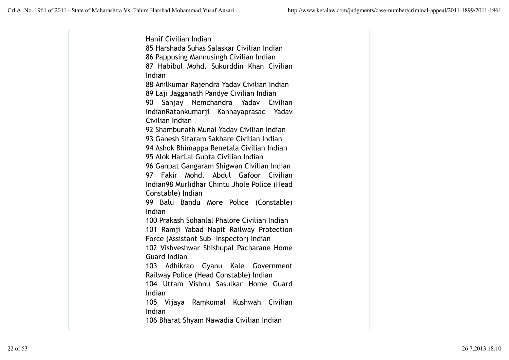Hanif Civilian Indian 85 Harshada Suhas Salaskar Civilian Indian 86 Pappusing Mannusingh Civilian Indian 87 Habibul Mohd. Sukurddin Khan Civilian Indian 88 Anilkumar Rajendra Yadav Civilian Indian 89 Laji Jagganath Pandye Civilian Indian 90 Sanjay Nemchandra Yadav Civilian IndianRatankumarji Kanhayaprasad Yadav Civilian Indian 92 Shambunath Munai Yadav Civilian Indian 93 Ganesh Sitaram Sakhare Civilian Indian 94 Ashok Bhimappa Renetala Civilian Indian 95 Alok Harilal Gupta Civilian Indian 96 Ganpat Gangaram Shigwan Civilian Indian 97 Fakir Mohd. Abdul Gafoor Civilian Indian98 Murlidhar Chintu Jhole Police (Head Constable) Indian 99 Balu Bandu More Police (Constable) Indian 100 Prakash Sohanlal Phalore Civilian Indian 101 Ramji Yabad Napit Railway Protection Force (Assistant Sub- Inspector) Indian 102 Vishveshwar Shishupal Pacharane Home Guard Indian 103 Adhikrao Gyanu Kale Government Railway Police (Head Constable) Indian 104 Uttam Vishnu Sasulkar Home Guard Indian 105 Vijaya Ramkomal Kushwah Civilian Indian 106 Bharat Shyam Nawadia Civilian Indian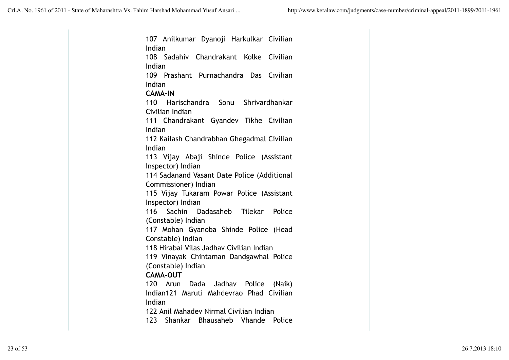107 Anilkumar Dyanoji Harkulkar Civilian Indian 108 Sadahiv Chandrakant Kolke Civilian Indian 109 Prashant Purnachandra Das Civilian Indian **CAMA-IN** 110 Harischandra Sonu Shrivardhankar Civilian Indian 111 Chandrakant Gyandev Tikhe Civilian Indian 112 Kailash Chandrabhan Ghegadmal Civilian Indian 113 Vijay Abaji Shinde Police (Assistant Inspector) Indian 114 Sadanand Vasant Date Police (Additional Commissioner) Indian 115 Vijay Tukaram Powar Police (Assistant Inspector) Indian 116 Sachin Dadasaheb Tilekar Police (Constable) Indian 117 Mohan Gyanoba Shinde Police (Head Constable) Indian 118 Hirabai Vilas Jadhav Civilian Indian 119 Vinayak Chintaman Dandgawhal Police (Constable) Indian **CAMA-OUT** 120 Arun Dada Jadhav Police (Naik) Indian121 Maruti Mahdevrao Phad Civilian Indian 122 Anil Mahadev Nirmal Civilian Indian 123 Shankar Bhausaheb Vhande Police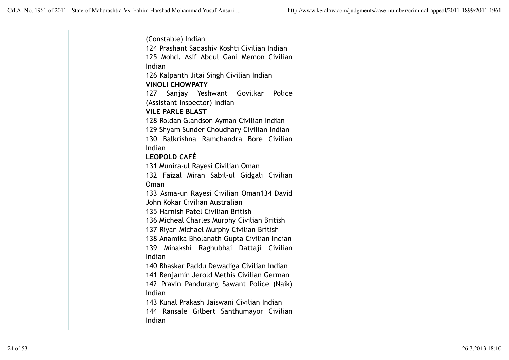(Constable) Indian 124 Prashant Sadashiv Koshti Civilian Indian 125 Mohd. Asif Abdul Gani Memon Civilian Indian 126 Kalpanth Jitai Singh Civilian Indian **VINOLI CHOWPATY** 127 Sanjay Yeshwant Govilkar Police (Assistant Inspector) Indian **VILE PARLE BLAST** 128 Roldan Glandson Ayman Civilian Indian 129 Shyam Sunder Choudhary Civilian Indian 130 Balkrishna Ramchandra Bore Civilian Indian **LEOPOLD CAFÉ** 131 Munira-ul Rayesi Civilian Oman 132 Faizal Miran Sabil-ul Gidgali Civilian Oman 133 Asma-un Rayesi Civilian Oman134 David John Kokar Civilian Australian 135 Harnish Patel Civilian British 136 Micheal Charles Murphy Civilian British 137 Riyan Michael Murphy Civilian British 138 Anamika Bholanath Gupta Civilian Indian 139 Minakshi Raghubhai Dattaji Civilian Indian 140 Bhaskar Paddu Dewadiga Civilian Indian 141 Benjamin Jerold Methis Civilian German 142 Pravin Pandurang Sawant Police (Naik) Indian 143 Kunal Prakash Jaiswani Civilian Indian 144 Ransale Gilbert Santhumayor Civilian Indian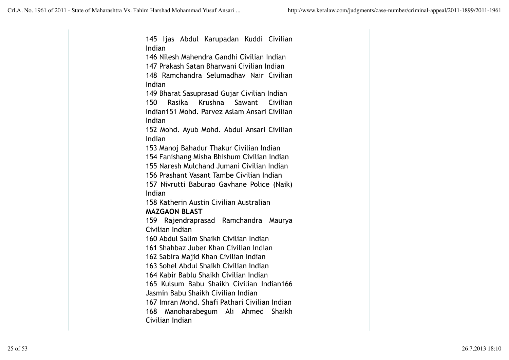145 Ijas Abdul Karupadan Kuddi Civilian Indian 146 Nilesh Mahendra Gandhi Civilian Indian 147 Prakash Satan Bharwani Civilian Indian 148 Ramchandra Selumadhav Nair Civilian Indian 149 Bharat Sasuprasad Gujar Civilian Indian 150 Rasika Krushna Sawant Civilian Indian151 Mohd. Parvez Aslam Ansari Civilian Indian 152 Mohd. Ayub Mohd. Abdul Ansari Civilian Indian 153 Manoj Bahadur Thakur Civilian Indian 154 Fanishang Misha Bhishum Civilian Indian 155 Naresh Mulchand Jumani Civilian Indian 156 Prashant Vasant Tambe Civilian Indian 157 Nivrutti Baburao Gavhane Police (Naik) Indian 158 Katherin Austin Civilian Australian **MAZGAON BLAST** 159 Rajendraprasad Ramchandra Maurya Civilian Indian 160 Abdul Salim Shaikh Civilian Indian 161 Shahbaz Juber Khan Civilian Indian 162 Sabira Majid Khan Civilian Indian 163 Sohel Abdul Shaikh Civilian Indian 164 Kabir Bablu Shaikh Civilian Indian 165 Kulsum Babu Shaikh Civilian Indian166 Jasmin Babu Shaikh Civilian Indian 167 Imran Mohd. Shafi Pathari Civilian Indian 168 Manoharabegum Ali Ahmed Shaikh Civilian Indian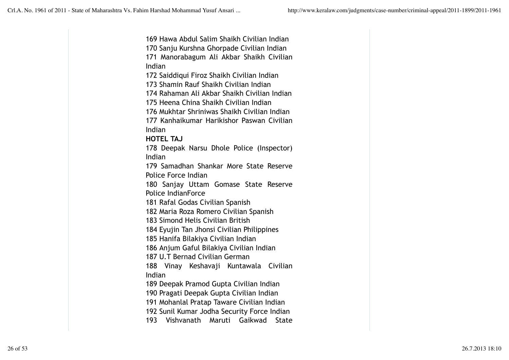169 Hawa Abdul Salim Shaikh Civilian Indian 170 Sanju Kurshna Ghorpade Civilian Indian 171 Manorabagum Ali Akbar Shaikh Civilian Indian 172 Saiddiqui Firoz Shaikh Civilian Indian 173 Shamin Rauf Shaikh Civilian Indian 174 Rahaman Ali Akbar Shaikh Civilian Indian 175 Heena China Shaikh Civilian Indian 176 Mukhtar Shriniwas Shaikh Civilian Indian 177 Kanhaikumar Harikishor Paswan Civilian Indian **HOTEL TAJ** 178 Deepak Narsu Dhole Police (Inspector) Indian 179 Samadhan Shankar More State Reserve Police Force Indian 180 Sanjay Uttam Gomase State Reserve Police IndianForce 181 Rafal Godas Civilian Spanish 182 Maria Roza Romero Civilian Spanish 183 Simond Helis Civilian British 184 Eyujin Tan Jhonsi Civilian Philippines 185 Hanifa Bilakiya Civilian Indian 186 Anjum Gaful Bilakiya Civilian Indian 187 U.T Bernad Civilian German 188 Vinay Keshavaji Kuntawala Civilian Indian 189 Deepak Pramod Gupta Civilian Indian 190 Pragati Deepak Gupta Civilian Indian 191 Mohanlal Pratap Taware Civilian Indian 192 Sunil Kumar Jodha Security Force Indian 193 Vishvanath Maruti Gaikwad State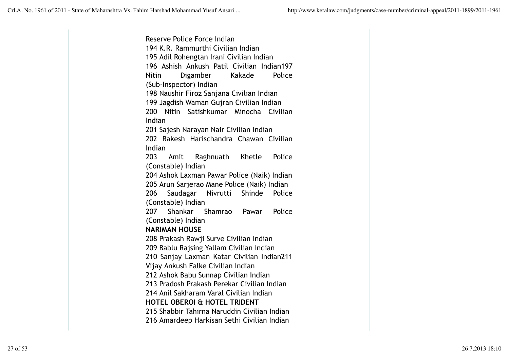Reserve Police Force Indian 194 K.R. Rammurthi Civilian Indian 195 Adil Rohengtan Irani Civilian Indian 196 Ashish Ankush Patil Civilian Indian197 Nitin Digamber Kakade Police (Sub-Inspector) Indian 198 Naushir Firoz Sanjana Civilian Indian 199 Jagdish Waman Gujran Civilian Indian 200 Nitin Satishkumar Minocha Civilian Indian 201 Sajesh Narayan Nair Civilian Indian 202 Rakesh Harischandra Chawan Civilian Indian 203 Amit Raghnuath Khetle Police (Constable) Indian 204 Ashok Laxman Pawar Police (Naik) Indian 205 Arun Sarjerao Mane Police (Naik) Indian 206 Saudagar Nivrutti Shinde Police (Constable) Indian 207 Shankar Shamrao Pawar Police (Constable) Indian **NARIMAN HOUSE** 208 Prakash Rawji Surve Civilian Indian 209 Bablu Rajsing Yallam Civilian Indian 210 Sanjay Laxman Katar Civilian Indian211 Vijay Ankush Falke Civilian Indian 212 Ashok Babu Sunnap Civilian Indian 213 Pradosh Prakash Perekar Civilian Indian 214 Anil Sakharam Varal Civilian Indian **HOTEL OBEROI & HOTEL TRIDENT** 215 Shabbir Tahirna Naruddin Civilian Indian 216 Amardeep Harkisan Sethi Civilian Indian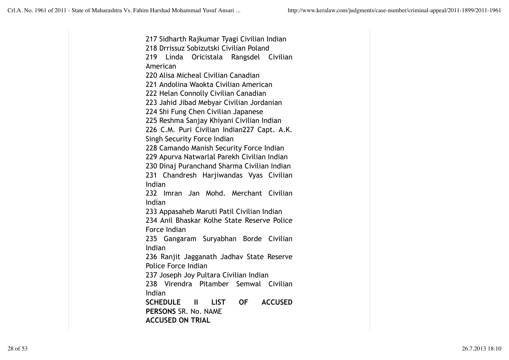217 Sidharth Rajkumar Tyagi Civilian Indian 218 Drrissuz Sobizutski Civilian Poland 219 Linda Oricistala Rangsdel Civilian American 220 Alisa Micheal Civilian Canadian 221 Andolina Waokta Civilian American 222 Helan Connolly Civilian Canadian 223 Jahid Jibad Mebyar Civilian Jordanian 224 Shi Fung Chen Civilian Japanese 225 Reshma Sanjay Khiyani Civilian Indian 226 C.M. Puri Civilian Indian227 Capt. A.K. Singh Security Force Indian 228 Camando Manish Security Force Indian 229 Apurva Natwarlal Parekh Civilian Indian 230 Dinaj Puranchand Sharma Civilian Indian 231 Chandresh Harjiwandas Vyas Civilian Indian 232 Imran Jan Mohd. Merchant Civilian Indian 233 Appasaheb Maruti Patil Civilian Indian 234 Anil Bhaskar Kolhe State Reserve Police Force Indian 235 Gangaram Suryabhan Borde Civilian Indian 236 Ranjit Jagganath Jadhav State Reserve Police Force Indian 237 Joseph Joy Pultara Civilian Indian 238 Virendra Pitamber Semwal Civilian Indian **SCHEDULE II LIST OF ACCUSED PERSONS** SR. No. NAME **ACCUSED ON TRIAL**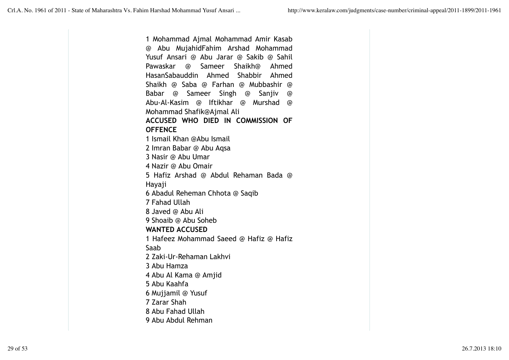1 Mohammad Ajmal Mohammad Amir Kasab @ Abu MujahidFahim Arshad Mohammad Yusuf Ansari @ Abu Jarar @ Sakib @ Sahil Pawaskar @ Sameer Shaikh@ Ahmed HasanSabauddin Ahmed Shabbir Ahmed Shaikh @ Saba @ Farhan @ Mubbashir @ Babar @ Sameer Singh @ Sanjiv @ Abu-Al-Kasim @ Iftikhar @ Murshad @ Mohammad Shafik@Ajmal Ali **ACCUSED WHO DIED IN COMMISSION OF OFFENCE** 1 Ismail Khan @Abu Ismail 2 Imran Babar @ Abu Aqsa 3 Nasir @ Abu Umar 4 Nazir @ Abu Omair 5 Hafiz Arshad @ Abdul Rehaman Bada @ Hayaji 6 Abadul Reheman Chhota @ Saqib 7 Fahad Ullah 8 Javed @ Abu Ali 9 Shoaib @ Abu Soheb **WANTED ACCUSED** 1 Hafeez Mohammad Saeed @ Hafiz @ Hafiz Saab 2 Zaki-Ur-Rehaman Lakhvi 3 Abu Hamza 4 Abu Al Kama @ Amjid 5 Abu Kaahfa 6 Mujjamil @ Yusuf 7 Zarar Shah 8 Abu Fahad Ullah 9 Abu Abdul Rehman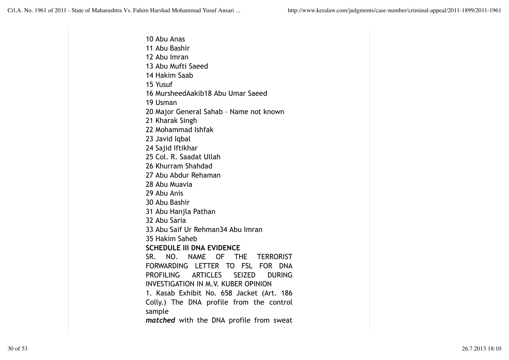10 Abu Anas 11 Abu Bashir 12 Abu Imran 13 Abu Mufti Saeed 14 Hakim Saab 15 Yusuf 16 MursheedAakib18 Abu Umar Saeed 19 Usman 20 Major General Sahab – Name not known 21 Kharak Singh 22 Mohammad Ishfak 23 Javid Iqbal 24 Sajid Iftikhar 25 Col. R. Saadat Ullah 26 Khurram Shahdad 27 Abu Abdur Rehaman 28 Abu Muavia 29 Abu Anis 30 Abu Bashir 31 Abu Hanjla Pathan 32 Abu Saria 33 Abu Saif Ur Rehman34 Abu Imran 35 Hakim Saheb **SCHEDULE III DNA EVIDENCE**  SR. NO. NAME OF THE TERRORIST FORWARDING LETTER TO FSL FOR DNA PROFILING ARTICLES SEIZED DURING INVESTIGATION IN M.V. KUBER OPINION 1. Kasab Exhibit No. 658 Jacket (Art. 186 Colly.) The DNA profile from the control sample *matched* with the DNA profile from sweat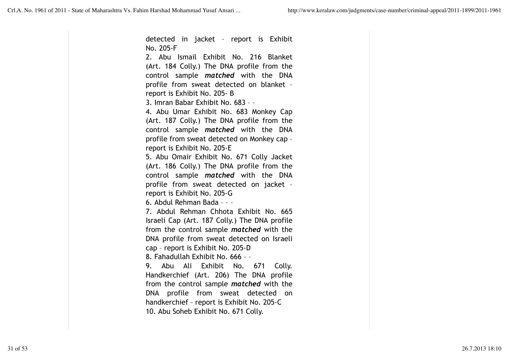detected in jacket – report is Exhibit No. 205-F 2. Abu Ismail Exhibit No. 216 Blanket (Art. 184 Colly.) The DNA profile from the control sample *matched* with the DNA profile from sweat detected on blanket – report is Exhibit No. 205- B 3. Imran Babar Exhibit No. 683 – – 4. Abu Umar Exhibit No. 683 Monkey Cap (Art. 187 Colly.) The DNA profile from the control sample *matched* with the DNA profile from sweat detected on Monkey cap – report is Exhibit No. 205-E 5. Abu Omair Exhibit No. 671 Colly Jacket (Art. 186 Colly.) The DNA profile from the control sample *matched* with the DNA profile from sweat detected on jacket – report is Exhibit No. 205-G 6. Abdul Rehman Bada – – – 7. Abdul Rehman Chhota Exhibit No. 665 Israeli Cap (Art. 187 Colly.) The DNA profile from the control sample *matched* with the DNA profile from sweat detected on Israeli cap – report is Exhibit No. 205-D 8. Fahadullah Exhibit No. 666 – – 9. Abu Ali Exhibit No. 671 Colly. Handkerchief (Art. 206) The DNA profile from the control sample *matched* with the DNA profile from sweat detected on handkerchief – report is Exhibit No. 205-C 10. Abu Soheb Exhibit No. 671 Colly.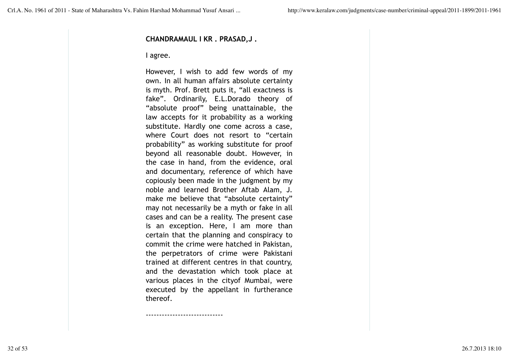#### **CHANDRAMAUL I KR . PRASAD,J .**

#### I agree.

However, I wish to add few words of my own. In all human affairs absolute certainty is myth. Prof. Brett puts it, "all exactness is fake". Ordinarily, E.L.Dorado theory of "absolute proof" being unattainable, the law accepts for it probability as a working substitute. Hardly one come across a case, where Court does not resort to "certain probability" as working substitute for proof beyond all reasonable doubt. However, in the case in hand, from the evidence, oral and documentary, reference of which have copiously been made in the judgment by my noble and learned Brother Aftab Alam, J. make me believe that "absolute certainty" may not necessarily be a myth or fake in all cases and can be a reality. The present case is an exception. Here, I am more than certain that the planning and conspiracy to commit the crime were hatched in Pakistan, the perpetrators of crime were Pakistani trained at different centres in that country, and the devastation which took place at various places in the cityof Mumbai, were executed by the appellant in furtherance thereof.

-----------------------------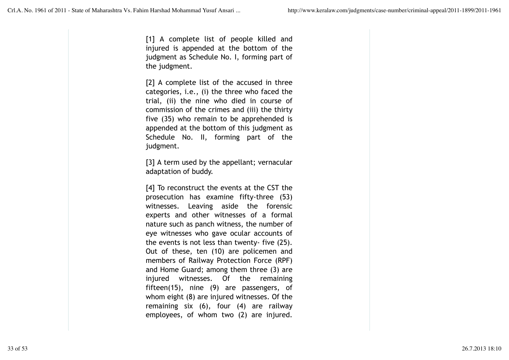[1] A complete list of people killed and injured is appended at the bottom of the judgment as Schedule No. I, forming part of the judgment.

[2] A complete list of the accused in three categories, i.e., (i) the three who faced the trial, (ii) the nine who died in course of commission of the crimes and (iii) the thirty five (35) who remain to be apprehended is appended at the bottom of this judgment as Schedule No. II, forming part of the judgment.

[3] A term used by the appellant; vernacular adaptation of buddy.

[4] To reconstruct the events at the CST the prosecution has examine fifty-three (53) witnesses. Leaving aside the forensic experts and other witnesses of a formal nature such as panch witness, the number of eye witnesses who gave ocular accounts of the events is not less than twenty- five (25). Out of these, ten (10) are policemen and members of Railway Protection Force (RPF) and Home Guard; among them three (3) are injured witnesses. Of the remaining fifteen(15), nine (9) are passengers, of whom eight (8) are injured witnesses. Of the remaining six (6), four (4) are railway employees, of whom two (2) are injured.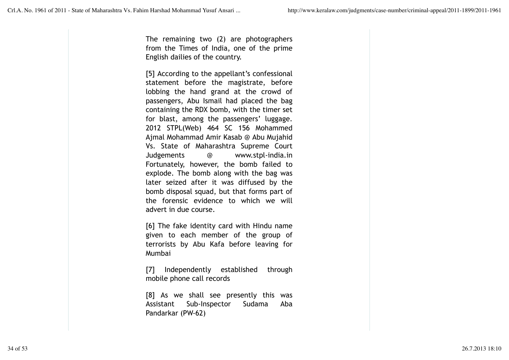The remaining two (2) are photographers from the Times of India, one of the prime English dailies of the country.

[5] According to the appellant's confessional statement before the magistrate, before lobbing the hand grand at the crowd of passengers, Abu Ismail had placed the bag containing the RDX bomb, with the timer set for blast, among the passengers' luggage. 2012 STPL(Web) 464 SC 156 Mohammed Ajmal Mohammad Amir Kasab @ Abu Mujahid Vs. State of Maharashtra Supreme Court Judgements @ www.stpl-india.in Fortunately, however, the bomb failed to explode. The bomb along with the bag was later seized after it was diffused by the bomb disposal squad, but that forms part of the forensic evidence to which we will advert in due course.

[6] The fake identity card with Hindu name given to each member of the group of terrorists by Abu Kafa before leaving for Mumbai

[7] Independently established through mobile phone call records

[8] As we shall see presently this was Assistant Sub-Inspector Sudama Aba Pandarkar (PW-62)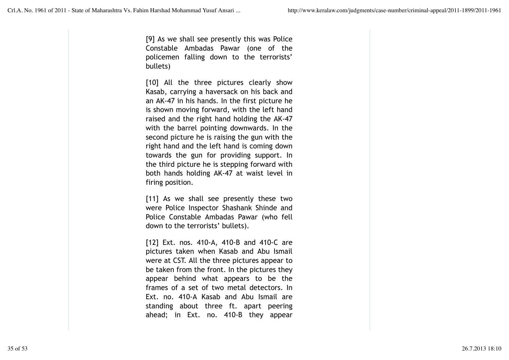[9] As we shall see presently this was Police Constable Ambadas Pawar (one of the policemen falling down to the terrorists' bullets)

[10] All the three pictures clearly show Kasab, carrying a haversack on his back and an AK-47 in his hands. In the first picture he is shown moving forward, with the left hand raised and the right hand holding the AK-47 with the barrel pointing downwards. In the second picture he is raising the gun with the right hand and the left hand is coming down towards the gun for providing support. In the third picture he is stepping forward with both hands holding AK-47 at waist level in firing position.

[11] As we shall see presently these two were Police Inspector Shashank Shinde and Police Constable Ambadas Pawar (who fell down to the terrorists' bullets).

[12] Ext. nos. 410-A, 410-B and 410-C are pictures taken when Kasab and Abu Ismail were at CST. All the three pictures appear to be taken from the front. In the pictures they appear behind what appears to be the frames of a set of two metal detectors. In Ext. no. 410-A Kasab and Abu Ismail are standing about three ft. apart peering ahead; in Ext. no. 410-B they appear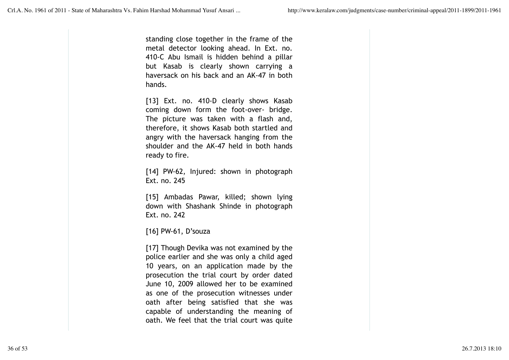standing close together in the frame of the metal detector looking ahead. In Ext. no. 410-C Abu Ismail is hidden behind a pillar but Kasab is clearly shown carrying a haversack on his back and an AK-47 in both hands.

[13] Ext. no. 410-D clearly shows Kasab coming down form the foot-over- bridge. The picture was taken with a flash and, therefore, it shows Kasab both startled and angry with the haversack hanging from the shoulder and the AK-47 held in both hands ready to fire.

[14] PW-62, Injured: shown in photograph Ext. no. 245

[15] Ambadas Pawar, killed; shown lying down with Shashank Shinde in photograph Ext. no. 242

[16] PW-61, D'souza

[17] Though Devika was not examined by the police earlier and she was only a child aged 10 years, on an application made by the prosecution the trial court by order dated June 10, 2009 allowed her to be examined as one of the prosecution witnesses under oath after being satisfied that she was capable of understanding the meaning of oath. We feel that the trial court was quite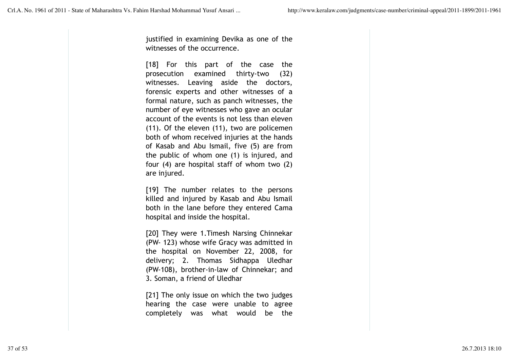justified in examining Devika as one of the witnesses of the occurrence.

[18] For this part of the case the prosecution examined thirty-two (32) witnesses. Leaving aside the doctors, forensic experts and other witnesses of a formal nature, such as panch witnesses, the number of eye witnesses who gave an ocular account of the events is not less than eleven (11). Of the eleven (11), two are policemen both of whom received injuries at the hands of Kasab and Abu Ismail, five (5) are from the public of whom one (1) is injured, and four (4) are hospital staff of whom two (2) are injured.

[19] The number relates to the persons killed and injured by Kasab and Abu Ismail both in the lane before they entered Cama hospital and inside the hospital.

[20] They were 1.Timesh Narsing Chinnekar (PW- 123) whose wife Gracy was admitted in the hospital on November 22, 2008, for delivery; 2. Thomas Sidhappa Uledhar (PW-108), brother-in-law of Chinnekar; and 3. Soman, a friend of Uledhar

[21] The only issue on which the two judges hearing the case were unable to agree completely was what would be the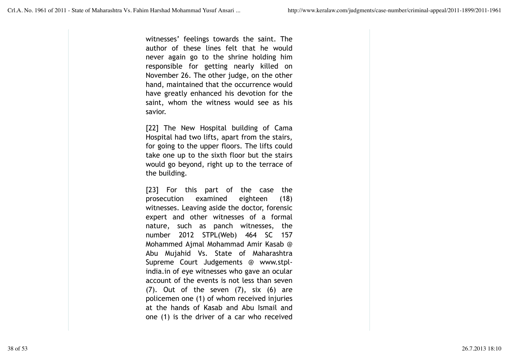witnesses' feelings towards the saint. The author of these lines felt that he would never again go to the shrine holding him responsible for getting nearly killed on November 26. The other judge, on the other hand, maintained that the occurrence would have greatly enhanced his devotion for the saint, whom the witness would see as his savior.

[22] The New Hospital building of Cama Hospital had two lifts, apart from the stairs, for going to the upper floors. The lifts could take one up to the sixth floor but the stairs would go beyond, right up to the terrace of the building.

[23] For this part of the case the prosecution examined eighteen (18) witnesses. Leaving aside the doctor, forensic expert and other witnesses of a formal nature, such as panch witnesses, the number 2012 STPL(Web) 464 SC 157 Mohammed Ajmal Mohammad Amir Kasab @ Abu Mujahid Vs. State of Maharashtra Supreme Court Judgements @ www.stplindia.in of eye witnesses who gave an ocular account of the events is not less than seven  $(7)$ . Out of the seven  $(7)$ , six  $(6)$  are policemen one (1) of whom received injuries at the hands of Kasab and Abu Ismail and one (1) is the driver of a car who received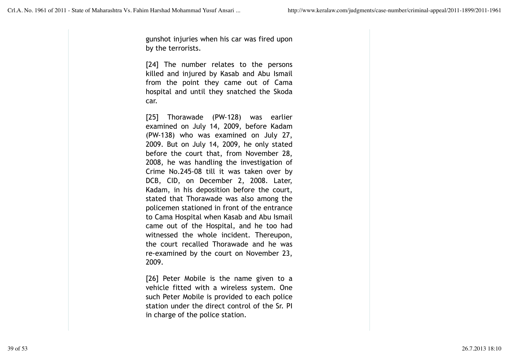gunshot injuries when his car was fired upon by the terrorists.

[24] The number relates to the persons killed and injured by Kasab and Abu Ismail from the point they came out of Cama hospital and until they snatched the Skoda car.

[25] Thorawade (PW-128) was earlier examined on July 14, 2009, before Kadam (PW-138) who was examined on July 27, 2009. But on July 14, 2009, he only stated before the court that, from November 28, 2008, he was handling the investigation of Crime No.245-08 till it was taken over by DCB, CID, on December 2, 2008. Later, Kadam, in his deposition before the court, stated that Thorawade was also among the policemen stationed in front of the entrance to Cama Hospital when Kasab and Abu Ismail came out of the Hospital, and he too had witnessed the whole incident. Thereupon, the court recalled Thorawade and he was re-examined by the court on November 23, 2009.

[26] Peter Mobile is the name given to a vehicle fitted with a wireless system. One such Peter Mobile is provided to each police station under the direct control of the Sr. PI in charge of the police station.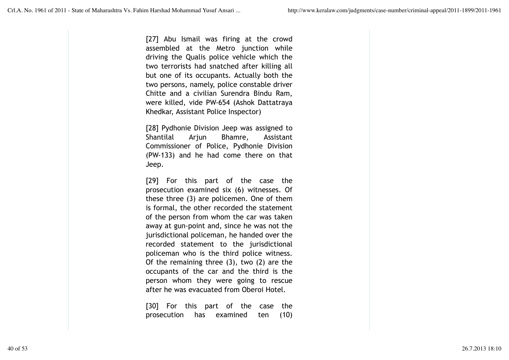[27] Abu Ismail was firing at the crowd assembled at the Metro junction while driving the Qualis police vehicle which the two terrorists had snatched after killing all but one of its occupants. Actually both the two persons, namely, police constable driver Chitte and a civilian Surendra Bindu Ram, were killed, vide PW-654 (Ashok Dattatraya Khedkar, Assistant Police Inspector)

[28] Pydhonie Division Jeep was assigned to Shantilal Arjun Bhamre, Assistant Commissioner of Police, Pydhonie Division (PW-133) and he had come there on that Jeep.

[29] For this part of the case the prosecution examined six (6) witnesses. Of these three (3) are policemen. One of them is formal, the other recorded the statement of the person from whom the car was taken away at gun-point and, since he was not the jurisdictional policeman, he handed over the recorded statement to the jurisdictional policeman who is the third police witness. Of the remaining three (3), two (2) are the occupants of the car and the third is the person whom they were going to rescue after he was evacuated from Oberoi Hotel.

[30] For this part of the case the prosecution has examined ten (10)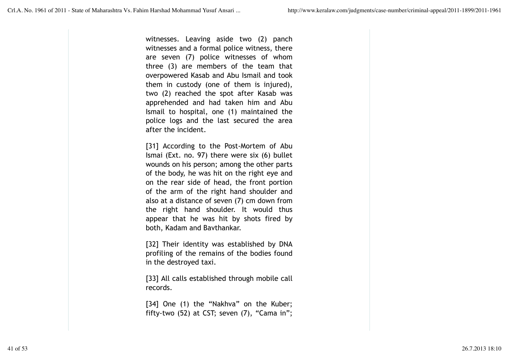witnesses. Leaving aside two (2) panch witnesses and a formal police witness, there are seven (7) police witnesses of whom three (3) are members of the team that overpowered Kasab and Abu Ismail and took them in custody (one of them is injured), two (2) reached the spot after Kasab was apprehended and had taken him and Abu Ismail to hospital, one (1) maintained the police logs and the last secured the area after the incident.

[31] According to the Post-Mortem of Abu Ismai (Ext. no. 97) there were six (6) bullet wounds on his person; among the other parts of the body, he was hit on the right eye and on the rear side of head, the front portion of the arm of the right hand shoulder and also at a distance of seven (7) cm down from the right hand shoulder. It would thus appear that he was hit by shots fired by both, Kadam and Bavthankar.

[32] Their identity was established by DNA profiling of the remains of the bodies found in the destroyed taxi.

[33] All calls established through mobile call records.

[34] One (1) the "Nakhva" on the Kuber; fifty-two (52) at CST; seven (7), "Cama in";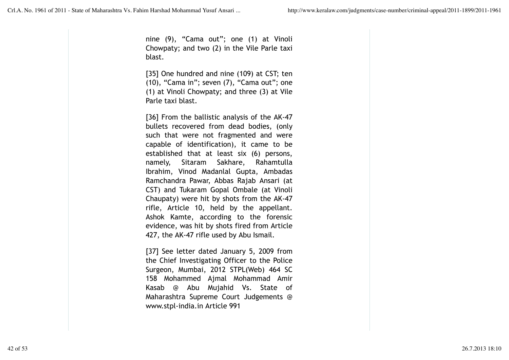nine (9), "Cama out"; one (1) at Vinoli Chowpaty; and two (2) in the Vile Parle taxi blast.

[35] One hundred and nine (109) at CST; ten (10), "Cama in"; seven (7), "Cama out"; one (1) at Vinoli Chowpaty; and three (3) at Vile Parle taxi blast.

[36] From the ballistic analysis of the AK-47 bullets recovered from dead bodies, (only such that were not fragmented and were capable of identification), it came to be established that at least six (6) persons, namely, Sitaram Sakhare, Rahamtulla Ibrahim, Vinod Madanlal Gupta, Ambadas Ramchandra Pawar, Abbas Rajab Ansari (at CST) and Tukaram Gopal Ombale (at Vinoli Chaupaty) were hit by shots from the AK-47 rifle, Article 10, held by the appellant. Ashok Kamte, according to the forensic evidence, was hit by shots fired from Article 427, the AK-47 rifle used by Abu Ismail.

[37] See letter dated January 5, 2009 from the Chief Investigating Officer to the Police Surgeon, Mumbai, 2012 STPL(Web) 464 SC 158 Mohammed Ajmal Mohammad Amir Kasab @ Abu Mujahid Vs. State of Maharashtra Supreme Court Judgements @ www.stpl-india.in Article 991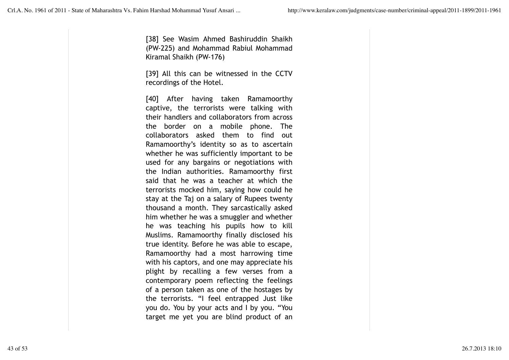[38] See Wasim Ahmed Bashiruddin Shaikh (PW-225) and Mohammad Rabiul Mohammad Kiramal Shaikh (PW-176)

[39] All this can be witnessed in the CCTV recordings of the Hotel.

[40] After having taken Ramamoorthy captive, the terrorists were talking with their handlers and collaborators from across the border on a mobile phone. The collaborators asked them to find out Ramamoorthy's identity so as to ascertain whether he was sufficiently important to be used for any bargains or negotiations with the Indian authorities. Ramamoorthy first said that he was a teacher at which the terrorists mocked him, saying how could he stay at the Taj on a salary of Rupees twenty thousand a month. They sarcastically asked him whether he was a smuggler and whether he was teaching his pupils how to kill Muslims. Ramamoorthy finally disclosed his true identity. Before he was able to escape, Ramamoorthy had a most harrowing time with his captors, and one may appreciate his plight by recalling a few verses from a contemporary poem reflecting the feelings of a person taken as one of the hostages by the terrorists. "I feel entrapped Just like you do. You by your acts and I by you. "You target me yet you are blind product of an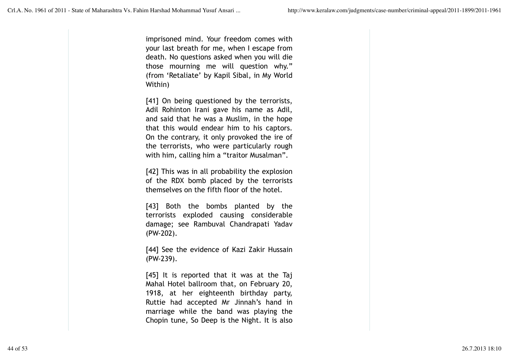imprisoned mind. Your freedom comes with your last breath for me, when I escape from death. No questions asked when you will die those mourning me will question why." (from 'Retaliate' by Kapil Sibal, in My World Within)

[41] On being questioned by the terrorists, Adil Rohinton Irani gave his name as Adil, and said that he was a Muslim, in the hope that this would endear him to his captors. On the contrary, it only provoked the ire of the terrorists, who were particularly rough with him, calling him a "traitor Musalman".

[42] This was in all probability the explosion of the RDX bomb placed by the terrorists themselves on the fifth floor of the hotel.

[43] Both the bombs planted by the terrorists exploded causing considerable damage; see Rambuval Chandrapati Yadav (PW-202).

[44] See the evidence of Kazi Zakir Hussain (PW-239).

[45] It is reported that it was at the Taj Mahal Hotel ballroom that, on February 20, 1918, at her eighteenth birthday party, Ruttie had accepted Mr Jinnah's hand in marriage while the band was playing the Chopin tune, So Deep is the Night. It is also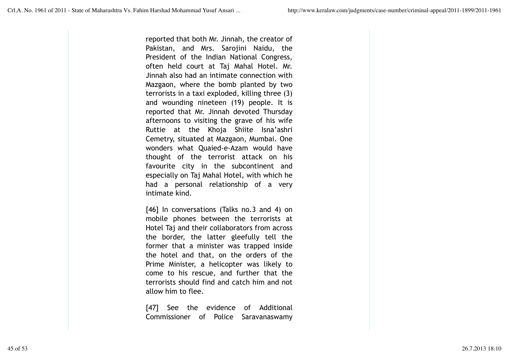reported that both Mr. Jinnah, the creator of Pakistan, and Mrs. Sarojini Naidu, the President of the Indian National Congress, often held court at Taj Mahal Hotel. Mr. Jinnah also had an intimate connection with Mazgaon, where the bomb planted by two terrorists in a taxi exploded, killing three (3) and wounding nineteen (19) people. It is reported that Mr. Jinnah devoted Thursday afternoons to visiting the grave of his wife Ruttie at the Khoja Shiite Isna'ashri Cemetry, situated at Mazgaon, Mumbai. One wonders what Quaied-e-Azam would have thought of the terrorist attack on his favourite city in the subcontinent and especially on Taj Mahal Hotel, with which he had a personal relationship of a very intimate kind.

[46] In conversations (Talks no.3 and 4) on mobile phones between the terrorists at Hotel Taj and their collaborators from across the border, the latter gleefully tell the former that a minister was trapped inside the hotel and that, on the orders of the Prime Minister, a helicopter was likely to come to his rescue, and further that the terrorists should find and catch him and not allow him to flee.

[47] See the evidence of Additional Commissioner of Police Saravanaswamy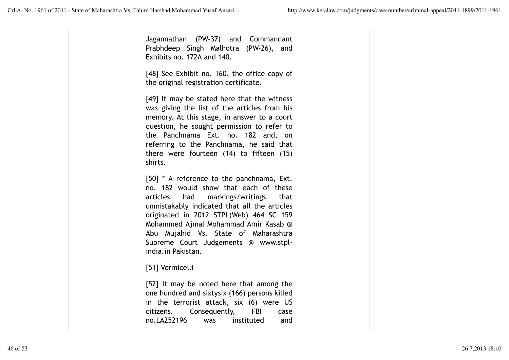Jagannathan (PW-37) and Commandant Prabhdeep Singh Malhotra (PW-26), and Exhibits no. 172A and 140.

[48] See Exhibit no. 160, the office copy of the original registration certificate.

[49] It may be stated here that the witness was giving the list of the articles from his memory. At this stage, in answer to a court question, he sought permission to refer to the Panchnama Ext. no. 182 and, on referring to the Panchnama, he said that there were fourteen (14) to fifteen (15) shirts.

[50] \* A reference to the panchnama, Ext. no. 182 would show that each of these articles had markings/writings that unmistakably indicated that all the articles originated in 2012 STPL(Web) 464 SC 159 Mohammed Ajmal Mohammad Amir Kasab @ Abu Mujahid Vs. State of Maharashtra Supreme Court Judgements @ www.stplindia.in Pakistan.

# [51] Vermicelli

[52] It may be noted here that among the one hundred and sixtysix (166) persons killed in the terrorist attack, six (6) were US citizens. Consequently, FBI case no.LA252196 was instituted and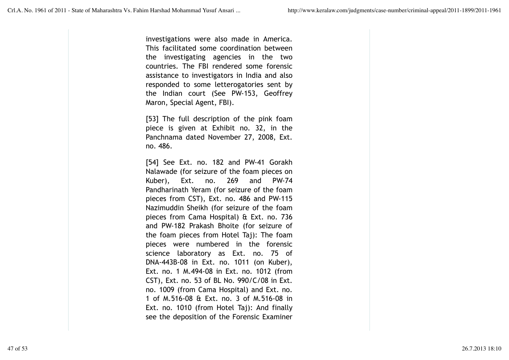investigations were also made in America. This facilitated some coordination between the investigating agencies in the two countries. The FBI rendered some forensic assistance to investigators in India and also responded to some letterogatories sent by the Indian court (See PW-153, Geoffrey Maron, Special Agent, FBI).

[53] The full description of the pink foam piece is given at Exhibit no. 32, in the Panchnama dated November 27, 2008, Ext. no. 486.

[54] See Ext. no. 182 and PW-41 Gorakh Nalawade (for seizure of the foam pieces on Kuber), Ext. no. 269 and PW-74 Pandharinath Yeram (for seizure of the foam pieces from CST), Ext. no. 486 and PW-115 Nazimuddin Sheikh (for seizure of the foam pieces from Cama Hospital) & Ext. no. 736 and PW-182 Prakash Bhoite (for seizure of the foam pieces from Hotel Taj): The foam pieces were numbered in the forensic science laboratory as Ext. no. 75 of DNA-443B-08 in Ext. no. 1011 (on Kuber), Ext. no. 1 M.494-08 in Ext. no. 1012 (from CST), Ext. no. 53 of BL No. 990/C/08 in Ext. no. 1009 (from Cama Hospital) and Ext. no. 1 of M.516-08 & Ext. no. 3 of M.516-08 in Ext. no. 1010 (from Hotel Taj): And finally see the deposition of the Forensic Examiner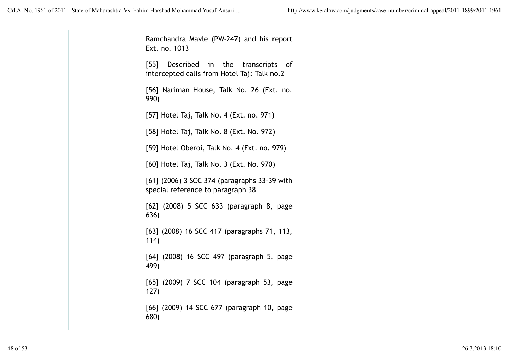Ramchandra Mavle (PW-247) and his report Ext. no. 1013 [55] Described in the transcripts of intercepted calls from Hotel Taj: Talk no.2 [56] Nariman House, Talk No. 26 (Ext. no. 990) [57] Hotel Taj, Talk No. 4 (Ext. no. 971) [58] Hotel Taj, Talk No. 8 (Ext. No. 972) [59] Hotel Oberoi, Talk No. 4 (Ext. no. 979) [60] Hotel Taj, Talk No. 3 (Ext. No. 970) [61] (2006) 3 SCC 374 (paragraphs 33-39 with special reference to paragraph 38 [62] (2008) 5 SCC 633 (paragraph 8, page 636) [63] (2008) 16 SCC 417 (paragraphs 71, 113, 114) [64] (2008) 16 SCC 497 (paragraph 5, page 499) [65] (2009) 7 SCC 104 (paragraph 53, page 127) [66] (2009) 14 SCC 677 (paragraph 10, page 680)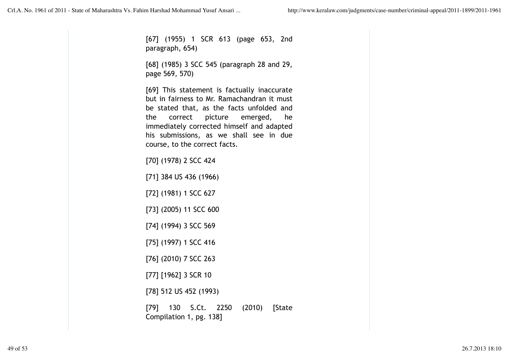[67] (1955) 1 SCR 613 (page 653, 2nd paragraph, 654)

[68] (1985) 3 SCC 545 (paragraph 28 and 29, page 569, 570)

[69] This statement is factually inaccurate but in fairness to Mr. Ramachandran it must be stated that, as the facts unfolded and the correct picture emerged, he immediately corrected himself and adapted his submissions, as we shall see in due course, to the correct facts.

[70] (1978) 2 SCC 424

[71] 384 US 436 (1966)

[72] (1981) 1 SCC 627

[73] (2005) 11 SCC 600

[74] (1994) 3 SCC 569

[75] (1997) 1 SCC 416

[76] (2010) 7 SCC 263

[77] [1962] 3 SCR 10

[78] 512 US 452 (1993)

[79] 130 S.Ct. 2250 (2010) [State Compilation 1, pg. 138]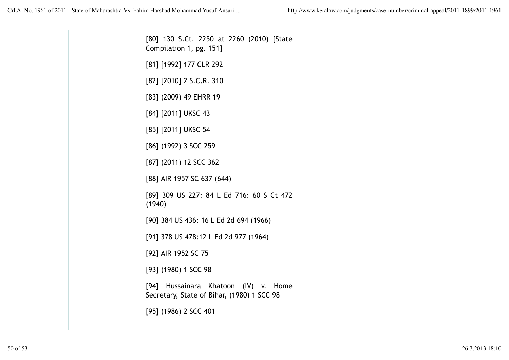[80] 130 S.Ct. 2250 at 2260 (2010) [State Compilation 1, pg. 151] [81] [1992] 177 CLR 292 [82] [2010] 2 S.C.R. 310 [83] (2009) 49 EHRR 19 [84] [2011] UKSC 43 [85] [2011] UKSC 54 [86] (1992) 3 SCC 259 [87] (2011) 12 SCC 362 [88] AIR 1957 SC 637 (644) [89] 309 US 227: 84 L Ed 716: 60 S Ct 472 (1940) [90] 384 US 436: 16 L Ed 2d 694 (1966) [91] 378 US 478:12 L Ed 2d 977 (1964) [92] AIR 1952 SC 75 [93] (1980) 1 SCC 98 [94] Hussainara Khatoon (IV) v. Home Secretary, State of Bihar, (1980) 1 SCC 98 [95] (1986) 2 SCC 401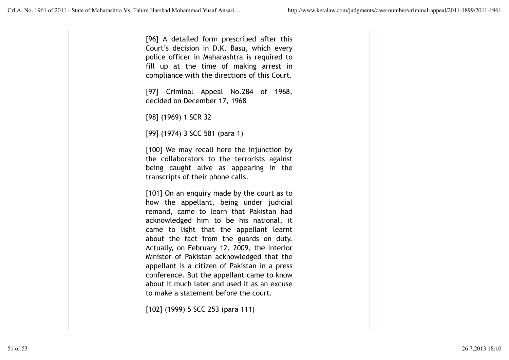[96] A detailed form prescribed after this Court's decision in D.K. Basu, which every police officer in Maharashtra is required to fill up at the time of making arrest in compliance with the directions of this Court.

[97] Criminal Appeal No.284 of 1968, decided on December 17, 1968

[98] (1969) 1 SCR 32

[99] (1974) 3 SCC 581 (para 1)

[100] We may recall here the injunction by the collaborators to the terrorists against being caught alive as appearing in the transcripts of their phone calls.

[101] On an enquiry made by the court as to how the appellant, being under judicial remand, came to learn that Pakistan had acknowledged him to be his national, it came to light that the appellant learnt about the fact from the guards on duty. Actually, on February 12, 2009, the Interior Minister of Pakistan acknowledged that the appellant is a citizen of Pakistan in a press conference. But the appellant came to know about it much later and used it as an excuse to make a statement before the court.

[102] (1999) 5 SCC 253 (para 111)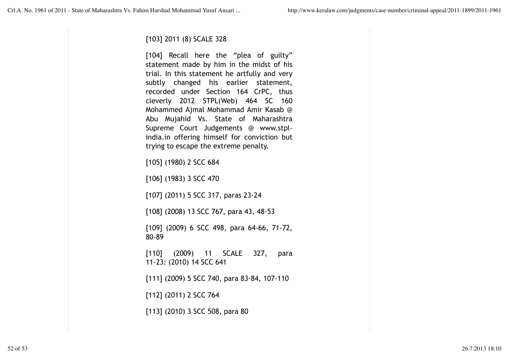# [103] 2011 (8) SCALE 328

[104] Recall here the "plea of guilty" statement made by him in the midst of his trial. In this statement he artfully and very subtly changed his earlier statement, recorded under Section 164 CrPC, thus cleverly 2012 STPL(Web) 464 SC 160 Mohammed Ajmal Mohammad Amir Kasab @ Abu Mujahid Vs. State of Maharashtra Supreme Court Judgements @ www.stplindia.in offering himself for conviction but trying to escape the extreme penalty.

[105] (1980) 2 SCC 684

[106] (1983) 3 SCC 470

[107] (2011) 5 SCC 317, paras 23-24

[108] (2008) 13 SCC 767, para 43, 48-53

[109] (2009) 6 SCC 498, para 64-66, 71-72, 80-89

[110] (2009) 11 SCALE 327, para 11-23: (2010) 14 SCC 641

[111] (2009) 5 SCC 740, para 83-84, 107-110

[112] (2011) 2 SCC 764

[113] (2010) 3 SCC 508, para 80